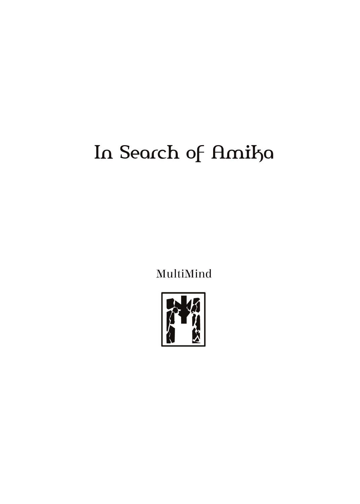## In Search of Amika

MultiMind

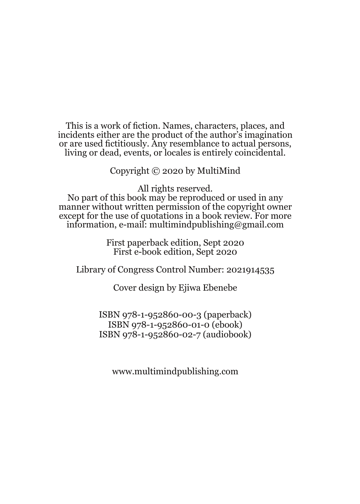This is a work of fiction. Names, characters, places, and incidents either are the product of the author's imagination or are used fictitiously. Any resemblance to actual persons, living or dead, events, or locales is entirely coincidental.

Copyright © 2020 by MultiMind

All rights reserved.

No part of this book may be reproduced or used in any manner without written permission of the copyright owner except for the use of quotations in a book review. For more information, e-mail: multimindpublishing@gmail.com

> First paperback edition, Sept 2020 First e-book edition, Sept 2020

Library of Congress Control Number: 2021914535

Cover design by Ejiwa Ebenebe

ISBN 978-1-952860-00-3 (paperback) ISBN 978-1-952860-01-0 (ebook) ISBN 978-1-952860-02-7 (audiobook)

www.multimindpublishing.com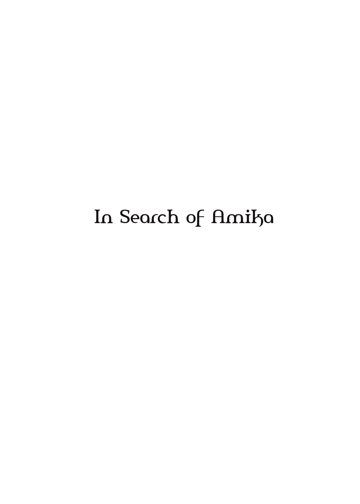## In Search of Amika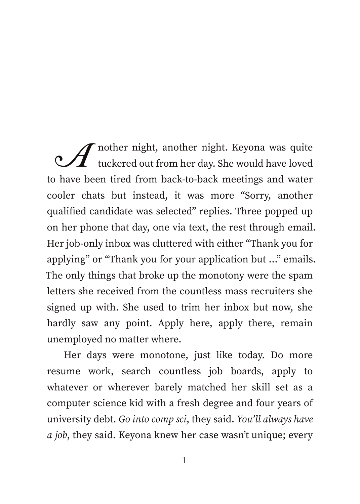$\mathscr A$  nother night, another night. Keyona was quite<br>tuckered out from her day. She would have loved to have been tired from back-to-back meetings and water cooler chats but instead, it was more "Sorry, another qualified candidate was selected" replies. Three popped up on her phone that day, one via text, the rest through email. Her job-only inbox was cluttered with either "Thank you for applying" or "Thank you for your application but …" emails. The only things that broke up the monotony were the spam letters she received from the countless mass recruiters she signed up with. She used to trim her inbox but now, she hardly saw any point. Apply here, apply there, remain unemployed no matter where.

Her days were monotone, just like today. Do more resume work, search countless job boards, apply to whatever or wherever barely matched her skill set as a computer science kid with a fresh degree and four years of university debt. *Go into comp sci*, they said. *You'll always have a job*, they said. Keyona knew her case wasn't unique; every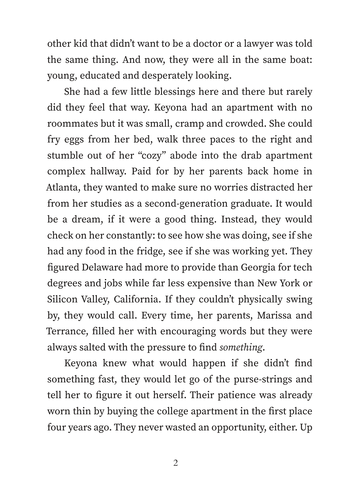other kid that didn't want to be a doctor or a lawyer was told the same thing. And now, they were all in the same boat: young, educated and desperately looking.

She had a few little blessings here and there but rarely did they feel that way. Keyona had an apartment with no roommates but it was small, cramp and crowded. She could fry eggs from her bed, walk three paces to the right and stumble out of her "cozy" abode into the drab apartment complex hallway. Paid for by her parents back home in Atlanta, they wanted to make sure no worries distracted her from her studies as a second-generation graduate. It would be a dream, if it were a good thing. Instead, they would check on her constantly: to see how she was doing, see if she had any food in the fridge, see if she was working yet. They figured Delaware had more to provide than Georgia for tech degrees and jobs while far less expensive than New York or Silicon Valley, California. If they couldn't physically swing by, they would call. Every time, her parents, Marissa and Terrance, filled her with encouraging words but they were always salted with the pressure to find *something*.

Keyona knew what would happen if she didn't find something fast, they would let go of the purse-strings and tell her to figure it out herself. Their patience was already worn thin by buying the college apartment in the first place four years ago. They never wasted an opportunity, either. Up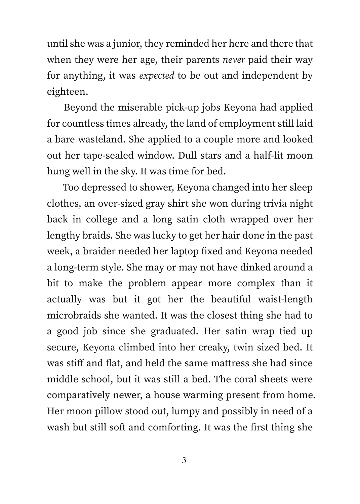until she was a junior, they reminded her here and there that when they were her age, their parents *never* paid their way for anything, it was *expected* to be out and independent by eighteen.

Beyond the miserable pick-up jobs Keyona had applied for countless times already, the land of employment still laid a bare wasteland. She applied to a couple more and looked out her tape-sealed window. Dull stars and a half-lit moon hung well in the sky. It was time for bed.

Too depressed to shower, Keyona changed into her sleep clothes, an over-sized gray shirt she won during trivia night back in college and a long satin cloth wrapped over her lengthy braids. She was lucky to get her hair done in the past week, a braider needed her laptop fixed and Keyona needed a long-term style. She may or may not have dinked around a bit to make the problem appear more complex than it actually was but it got her the beautiful waist-length microbraids she wanted. It was the closest thing she had to a good job since she graduated. Her satin wrap tied up secure, Keyona climbed into her creaky, twin sized bed. It was stiff and flat, and held the same mattress she had since middle school, but it was still a bed. The coral sheets were comparatively newer, a house warming present from home. Her moon pillow stood out, lumpy and possibly in need of a wash but still soft and comforting. It was the first thing she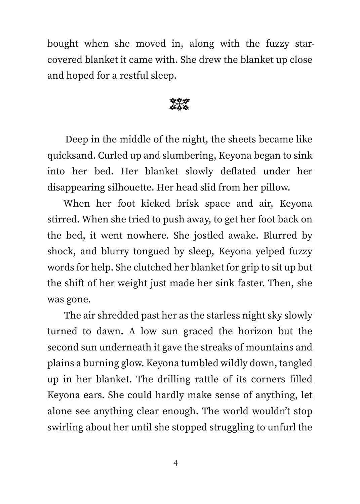bought when she moved in, along with the fuzzy starcovered blanket it came with. She drew the blanket up close and hoped for a restful sleep.

E

Deep in the middle of the night, the sheets became like quicksand. Curled up and slumbering, Keyona began to sink into her bed. Her blanket slowly deflated under her disappearing silhouette. Her head slid from her pillow.

When her foot kicked brisk space and air, Keyona stirred. When she tried to push away, to get her foot back on the bed, it went nowhere. She jostled awake. Blurred by shock, and blurry tongued by sleep, Keyona yelped fuzzy words for help. She clutched her blanket for grip to sit up but the shift of her weight just made her sink faster. Then, she was gone.

The air shredded past her as the starless night sky slowly turned to dawn. A low sun graced the horizon but the second sun underneath it gave the streaks of mountains and plains a burning glow. Keyona tumbled wildly down, tangled up in her blanket. The drilling rattle of its corners filled Keyona ears. She could hardly make sense of anything, let alone see anything clear enough. The world wouldn't stop swirling about her until she stopped struggling to unfurl the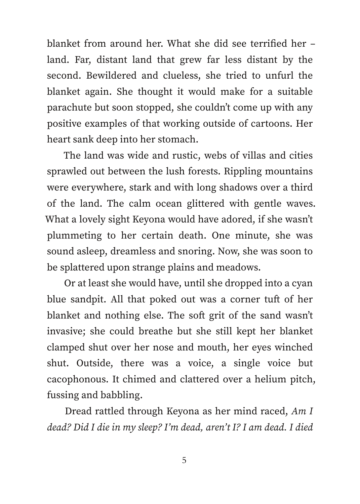blanket from around her. What she did see terrified her – land. Far, distant land that grew far less distant by the second. Bewildered and clueless, she tried to unfurl the blanket again. She thought it would make for a suitable parachute but soon stopped, she couldn't come up with any positive examples of that working outside of cartoons. Her heart sank deep into her stomach.

The land was wide and rustic, webs of villas and cities sprawled out between the lush forests. Rippling mountains were everywhere, stark and with long shadows over a third of the land. The calm ocean glittered with gentle waves. What a lovely sight Keyona would have adored, if she wasn't plummeting to her certain death. One minute, she was sound asleep, dreamless and snoring. Now, she was soon to be splattered upon strange plains and meadows.

Or at least she would have, until she dropped into a cyan blue sandpit. All that poked out was a corner tuft of her blanket and nothing else. The soft grit of the sand wasn't invasive; she could breathe but she still kept her blanket clamped shut over her nose and mouth, her eyes winched shut. Outside, there was a voice, a single voice but cacophonous. It chimed and clattered over a helium pitch, fussing and babbling.

Dread rattled through Keyona as her mind raced, *Am I dead? Did I die in my sleep? I'm dead, aren't I? I am dead. I died*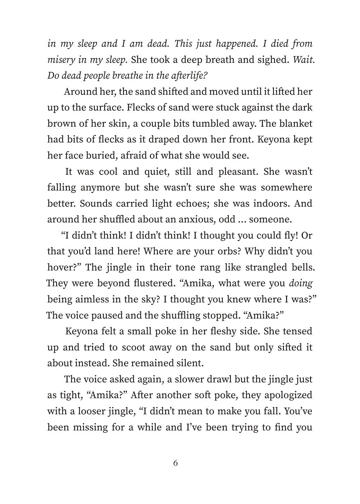*in my sleep and I am dead. This just happened. I died from misery in my sleep.* She took a deep breath and sighed. *Wait. Do dead people breathe in the afterlife?*

Around her, the sand shifted and moved until it lifted her up to the surface. Flecks of sand were stuck against the dark brown of her skin, a couple bits tumbled away. The blanket had bits of flecks as it draped down her front. Keyona kept her face buried, afraid of what she would see.

It was cool and quiet, still and pleasant. She wasn't falling anymore but she wasn't sure she was somewhere better. Sounds carried light echoes; she was indoors. And around her shuffled about an anxious, odd … someone.

"I didn't think! I didn't think! I thought you could fly! Or that you'd land here! Where are your orbs? Why didn't you hover?" The jingle in their tone rang like strangled bells. They were beyond flustered. "Amika, what were you *doing* being aimless in the sky? I thought you knew where I was?" The voice paused and the shuffling stopped. "Amika?"

Keyona felt a small poke in her fleshy side. She tensed up and tried to scoot away on the sand but only sifted it about instead. She remained silent.

The voice asked again, a slower drawl but the jingle just as tight, "Amika?" After another soft poke, they apologized with a looser jingle, "I didn't mean to make you fall. You've been missing for a while and I've been trying to find you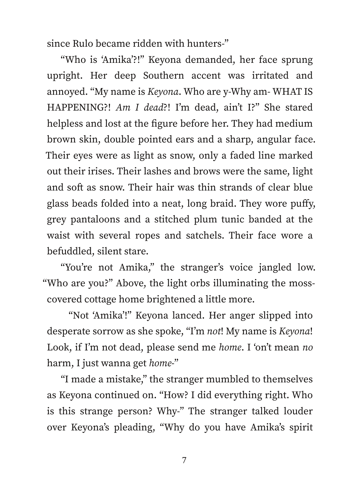since Rulo became ridden with hunters-"

"Who is ʻAmika'?!" Keyona demanded, her face sprung upright. Her deep Southern accent was irritated and annoyed. "My name is *Keyona*. Who are y-Why am- WHAT IS HAPPENING?! *Am I dead*?! I'm dead, ain't I?" She stared helpless and lost at the figure before her. They had medium brown skin, double pointed ears and a sharp, angular face. Their eyes were as light as snow, only a faded line marked out their irises. Their lashes and brows were the same, light and soft as snow. Their hair was thin strands of clear blue glass beads folded into a neat, long braid. They wore puffy, grey pantaloons and a stitched plum tunic banded at the waist with several ropes and satchels. Their face wore a befuddled, silent stare.

"You're not Amika," the stranger's voice jangled low. "Who are you?" Above, the light orbs illuminating the mosscovered cottage home brightened a little more.

"Not ʻAmika'!" Keyona lanced. Her anger slipped into desperate sorrow as she spoke, "I'm *not*! My name is *Keyona*! Look, if I'm not dead, please send me *home*. I ʻon't mean *no* harm, I just wanna get *home*-"

"I made a mistake," the stranger mumbled to themselves as Keyona continued on. "How? I did everything right. Who is this strange person? Why-" The stranger talked louder over Keyona's pleading, "Why do you have Amika's spirit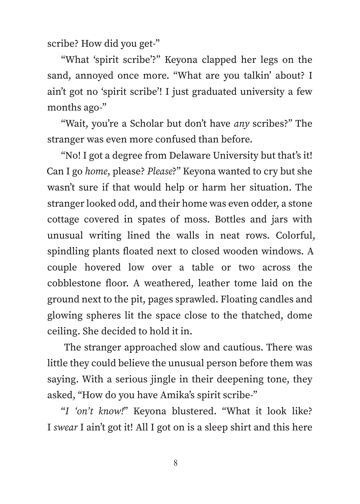scribe? How did you get-"

"What ʻspirit scribe'?" Keyona clapped her legs on the sand, annoyed once more. "What are you talkin' about? I ain't got no ʻspirit scribe'! I just graduated university a few months ago-"

"Wait, you're a Scholar but don't have *any* scribes?" The stranger was even more confused than before.

"No! I got a degree from Delaware University but that's it! Can I go *home*, please? *Please*?" Keyona wanted to cry but she wasn't sure if that would help or harm her situation. The stranger looked odd, and their home was even odder, a stone cottage covered in spates of moss. Bottles and jars with unusual writing lined the walls in neat rows. Colorful, spindling plants floated next to closed wooden windows. A couple hovered low over a table or two across the cobblestone floor. A weathered, leather tome laid on the ground next to the pit, pages sprawled. Floating candles and glowing spheres lit the space close to the thatched, dome ceiling. She decided to hold it in.

The stranger approached slow and cautious. There was little they could believe the unusual person before them was saying. With a serious jingle in their deepening tone, they asked, "How do you have Amika's spirit scribe-"

"*I ʻon't know!*" Keyona blustered. "What it look like? I *swear* I ain't got it! All I got on is a sleep shirt and this here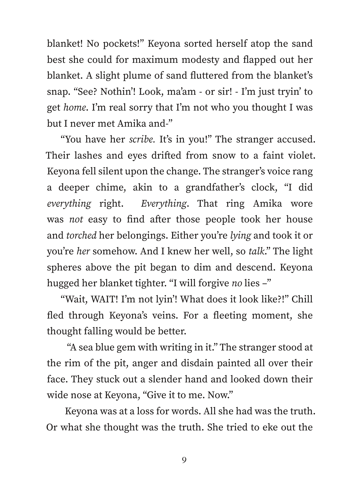blanket! No pockets!" Keyona sorted herself atop the sand best she could for maximum modesty and flapped out her blanket. A slight plume of sand fluttered from the blanket's snap. "See? Nothin'! Look, ma'am - or sir! - I'm just tryin' to get *home*. I'm real sorry that I'm not who you thought I was but I never met Amika and-"

"You have her *scribe.* It's in you!" The stranger accused. Their lashes and eyes drifted from snow to a faint violet. Keyona fell silent upon the change. The stranger's voice rang a deeper chime, akin to a grandfather's clock, "I did *everything* right. *Everything*. That ring Amika wore was *not* easy to find after those people took her house and *torched* her belongings. Either you're *lying* and took it or you're *her* somehow. And I knew her well, so *talk*." The light spheres above the pit began to dim and descend. Keyona hugged her blanket tighter. "I will forgive *no* lies –"

"Wait, WAIT! I'm not lyin'! What does it look like?!" Chill fled through Keyona's veins. For a fleeting moment, she thought falling would be better.

"A sea blue gem with writing in it." The stranger stood at the rim of the pit, anger and disdain painted all over their face. They stuck out a slender hand and looked down their wide nose at Keyona, "Give it to me. Now."

Keyona was at a loss for words. All she had was the truth. Or what she thought was the truth. She tried to eke out the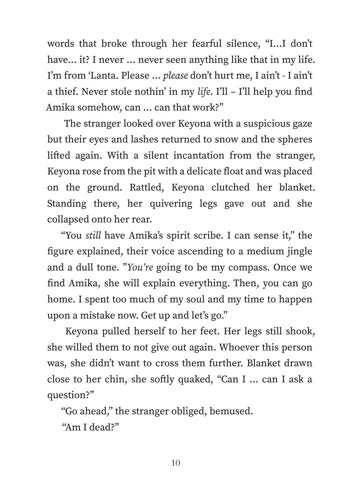words that broke through her fearful silence, "I...I don't have... it? I never ... never seen anything like that in my life. I'm from ʻLanta. Please … *please* don't hurt me, I ain't - I ain't a thief. Never stole nothin' in my *life*. I'll – I'll help you find Amika somehow, can … can that work?"

The stranger looked over Keyona with a suspicious gaze but their eyes and lashes returned to snow and the spheres lifted again. With a silent incantation from the stranger, Keyona rose from the pit with a delicate float and was placed on the ground. Rattled, Keyona clutched her blanket. Standing there, her quivering legs gave out and she collapsed onto her rear.

"You *still* have Amika's spirit scribe. I can sense it," the figure explained, their voice ascending to a medium jingle and a dull tone. "*You're* going to be my compass. Once we find Amika, she will explain everything. Then, you can go home. I spent too much of my soul and my time to happen upon a mistake now. Get up and let's go."

Keyona pulled herself to her feet. Her legs still shook, she willed them to not give out again. Whoever this person was, she didn't want to cross them further. Blanket drawn close to her chin, she softly quaked, "Can I … can I ask a question?"

"Go ahead," the stranger obliged, bemused.

"Am I dead?"